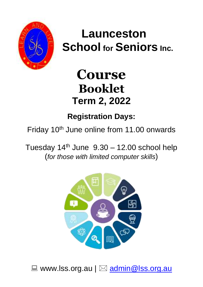

# **Launceston School for Seniors Inc.**

# **Course Booklet Term 2, 2022**

**Registration Days:**

Friday 10<sup>th</sup> June online from 11.00 onwards

Tuesday  $14<sup>th</sup>$  June  $9.30 - 12.00$  school help (*for those with limited computer skills*)



 $\Box$  www.lss.org.au  $\Box$  [admin@lss.org.au](mailto:admin@lss.org.au)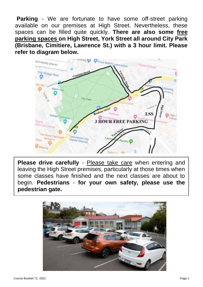**Parking** - We are fortunate to have some off-street parking available on our premises at High Street. Nevertheless, these spaces can be filled quite quickly. **There are also some free parking spaces on High Street, York Street all around City Park (Brisbane, Cimitiere, Lawrence St.) with a 3 hour limit. Please refer to diagram below.** 



**Please drive carefully** - Please take care when entering and leaving the High Street premises, particularly at those times when some classes have finished and the next classes are about to begin. **Pedestrians** - **for your own safety, please use the pedestrian gate.**

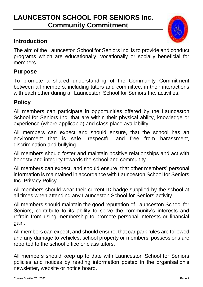### **LAUNCESTON SCHOOL FOR SENIORS Inc. Community Commitment**

#### **Introduction**

The aim of the Launceston School for Seniors Inc. is to provide and conduct programs which are educationally, vocationally or socially beneficial for members.

#### **Purpose**

To promote a shared understanding of the Community Commitment between all members, including tutors and committee, in their interactions with each other during all Launceston School for Seniors Inc. activities.

#### **Policy**

All members can participate in opportunities offered by the Launceston School for Seniors Inc. that are within their physical ability, knowledge or experience (where applicable) and class place availability.

All members can expect and should ensure, that the school has an environment that is safe, respectful and free from harassment, discrimination and bullying.

All members should foster and maintain positive relationships and act with honesty and integrity towards the school and community.

All members can expect, and should ensure, that other members' personal information is maintained in accordance with Launceston School for Seniors Inc. Privacy Policy.

All members should wear their current ID badge supplied by the school at all times when attending any Launceston School for Seniors activity.

All members should maintain the good reputation of Launceston School for Seniors, contribute to its ability to serve the community's interests and refrain from using membership to promote personal interests or financial gain.

All members can expect, and should ensure, that car park rules are followed and any damage to vehicles, school property or members' possessions are reported to the school office or class tutors.

All members should keep up to date with Launceston School for Seniors policies and notices by reading information posted in the organisation's newsletter, website or notice board.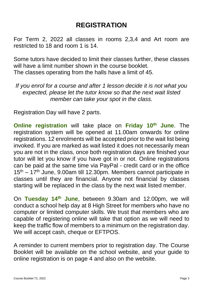### **REGISTRATION**

For Term 2, 2022 all classes in rooms 2,3,4 and Art room are restricted to 18 and room 1 is 14.

Some tutors have decided to limit their classes further, these classes will have a limit number shown in the course booklet. The classes operating from the halls have a limit of 45.

*If you enrol for a course and after 1 lesson decide it is not what you expected, please let the tutor know so that the next wait listed member can take your spot in the class.*

Registration Day will have 2 parts.

**Online registration** will take place on **Friday 10th June**. The registration system will be opened at 11.00am onwards for online registrations. 12 enrolments will be accepted prior to the wait list being invoked. If you are marked as wait listed it does not necessarily mean you are not in the class, once both registration days are finished your tutor will let you know if you have got in or not. Online registrations can be paid at the same time via PayPal - credit card or in the office  $15<sup>th</sup> - 17<sup>th</sup>$  June, 9.00am till 12.30pm. Members cannot participate in classes until they are financial. Anyone not financial by classes starting will be replaced in the class by the next wait listed member.

On **Tuesday 14th June**, between 9.30am and 12.00pm, we will conduct a school help day at 8 High Street for members who have no computer or limited computer skills. We trust that members who are capable of registering online will take that option as we will need to keep the traffic flow of members to a minimum on the registration day. We will accept cash, cheque or EFTPOS.

A reminder to current members prior to registration day. The Course Booklet will be available on the school website, and your guide to online registration is on page 4 and also on the website.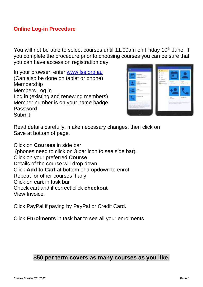#### **Online Log-in Procedure**

You will not be able to select courses until 11.00am on Friday 10<sup>th</sup> June. If you complete the procedure prior to choosing courses you can be sure that you can have access on registration day.

In your browser, enter [www.lss.org.au](http://www.lss.org.au/) (Can also be done on tablet or phone) Membership Members Log in Log in (existing and renewing members) Member number is on your name badge Password Submit



Read details carefully, make necessary changes, then click on Save at bottom of page.

Click on **Courses** in side bar (phones need to click on 3 bar icon to see side bar). Click on your preferred **Course** Details of the course will drop down Click **Add to Cart** at bottom of dropdown to enrol Repeat for other courses if any Click on **cart** in task bar Check cart and if correct click **checkout** View Invoice.

Click PayPal if paying by PayPal or Credit Card.

Click **Enrolments** in task bar to see all your enrolments.

#### **\$50 per term covers as many courses as you like.**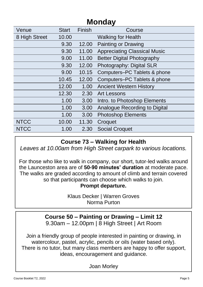| Venue         | <b>Start</b> | Finish | Course                              |
|---------------|--------------|--------|-------------------------------------|
| 8 High Street | 10.00        |        | <b>Walking for Health</b>           |
|               | 9.30         | 12.00  | Painting or Drawing                 |
|               | 9.30         | 11.00  | <b>Appreciating Classical Music</b> |
|               | 9.00         | 11.00  | <b>Better Digital Photography</b>   |
|               | 9.30         | 12.00  | Photography: Digital SLR            |
|               | 9.00         | 10.15  | Computers-PC Tablets & phone        |
|               | 10.45        | 12.00  | Computers-PC Tablets & phone        |
|               | 12.00        | 1.00   | <b>Ancient Western History</b>      |
|               | 12.30        | 2.30   | Art Lessons                         |
|               | 1.00         | 3.00   | Intro. to Photoshop Elements        |
|               | 1.00         | 3.00   | Analogue Recording to Digital       |
|               | 1.00         | 3.00   | <b>Photoshop Elements</b>           |
| <b>NTCC</b>   | 10.00        | 11.30  | Croquet                             |
| <b>NTCC</b>   | 1.00         | 2.30   | <b>Social Croquet</b>               |
|               |              |        |                                     |

#### **Course 73 – Walking for Health**

*Leaves at 10.00am from High Street carpark to various locations.*

For those who like to walk in company, our short, tutor-led walks around the Launceston area are of **50-90 minutes' duration** at moderate pace. The walks are graded according to amount of climb and terrain covered so that participants can choose which walks to join.

**Prompt departure.** 

Klaus Decker | Warren Groves Norma Purton

Warren Groves – 0437 361 530 **Course 50 – Painting or Drawing – Limit 12** 9.30am – 12.00pm | 8 High Street | Art Room

Join a friendly group of people interested in painting or drawing, in watercolour, pastel, acrylic, pencils or oils (water based only). There is no tutor, but many class members are happy to offer support, ideas, encouragement and guidance.

Joan Morley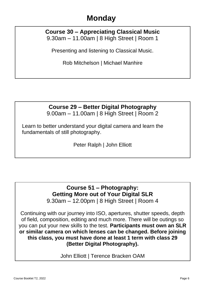#### **Course 30 – Appreciating Classical Music** 9.30am – 11.00am | 8 High Street | Room 1

Presenting and listening to Classical Music.

Rob Mitchelson | Michael Manhire

#### **Course 29 – Better Digital Photography**

9.00am – 11.00am | 8 High Street | Room 2

Learn to better understand your digital camera and learn the fundamentals of still photography.

Peter Ralph | John Elliott

#### **Course 51 – Photography: Getting More out of Your Digital SLR** 9.30am – 12.00pm | 8 High Street | Room 4

Continuing with our journey into ISO, apertures, shutter speeds, depth of field, composition, editing and much more. There will be outings so you can put your new skills to the test. **Participants must own an SLR or similar camera on which lenses can be changed. Before joining this class, you must have done at least 1 term with class 29 (Better Digital Photography).**

John Elliott | Terence Bracken OAM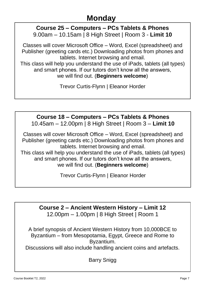#### **Course 25 – Computers – PCs Tablets & Phones**  9.00am – 10.15am | 8 High Street | Room 3 - **Limit 10**

Classes will cover Microsoft Office – Word, Excel (spreadsheet) and Publisher (greeting cards etc.) Downloading photos from phones and tablets. Internet browsing and email.

This class will help you understand the use of iPads, tablets (all types) and smart phones. If our tutors don't know all the answers, we will find out. (**Beginners welcome**)

Trevor Curtis-Flynn | Eleanor Horder

# **Course 18 – Computers – PCs Tablets & Phones**

10.45am – 12.00pm | 8 High Street | Room 3 – **Limit 10**

Classes will cover Microsoft Office – Word, Excel (spreadsheet) and Publisher (greeting cards etc.) Downloading photos from phones and tablets. Internet browsing and email.

This class will help you understand the use of iPads, tablets (all types) and smart phones. If our tutors don't know all the answers. we will find out. (**Beginners welcome**)

Trevor Curtis-Flynn | Eleanor Horder

**Course 2 – Ancient Western History – Limit 12** 12.00pm – 1.00pm | 8 High Street | Room 1

A brief synopsis of Ancient Western History from 10,000BCE to Byzantium – from Mesopotamia, Egypt, Greece and Rome to Byzantium.

Discussions will also include handling ancient coins and artefacts.

Barry Snigg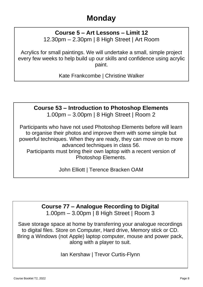#### **Course 5 – Art Lessons – Limit 12** 12.30pm – 2.30pm | 8 High Street | Art Room

Acrylics for small paintings. We will undertake a small, simple project every few weeks to help build up our skills and confidence using acrylic paint.

Kate Frankcombe | Christine Walker

#### **Course 53 – Introduction to Photoshop Elements** 1.00pm – 3.00pm | 8 High Street | Room 2

Participants who have not used Photoshop Elements before will learn to organise their photos and improve them with some simple but powerful techniques. When they are ready, they can move on to more advanced techniques in class 56.

Participants must bring their own laptop with a recent version of Photoshop Elements.

John Elliott | Terence Bracken OAM

#### **Course 77 – Analogue Recording to Digital**  1.00pm – 3.00pm | 8 High Street | Room 3

Save storage space at home by transferring your analogue recordings to digital files. Store on Computer, Hard drive, Memory stick or CD. Bring a Windows (not Apple) laptop computer, mouse and power pack, along with a player to suit.

Ian Kershaw | Trevor Curtis-Flynn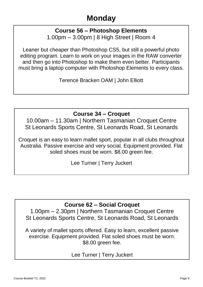#### **Course 56 – Photoshop Elements**

1.00pm – 3.00pm | 8 High Street | Room 4

Leaner but cheaper than Photoshop CS5, but still a powerful photo editing program. Learn to work on your images in the RAW converter and then go into Photoshop to make them even better. Participants must bring a laptop computer with Photoshop Elements to every class.

Terence Bracken OAM | John Elliott

#### **Course 34 – Croquet**

10.00am – 11.30am | Northern Tasmanian Croquet Centre St Leonards Sports Centre, St Leonards Road, St Leonards

Croquet is an easy to learn mallet sport, popular in all clubs throughout Australia. Passive exercise and very social. Equipment provided. Flat soled shoes must be worn. \$8.00 green fee.

Lee Turner | Terry Juckert

#### **Course 62 – Social Croquet**

1.00pm – 2.30pm | Northern Tasmanian Croquet Centre St Leonards Sports Centre, St Leonards Road, St Leonards

A variety of mallet sports offered. Easy to learn, excellent passive exercise. Equipment provided. Flat soled shoes must be worn. \$8.00 green fee.

Lee Turner | Terry Juckert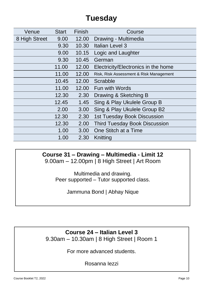| Venue         | <b>Start</b> | Finish | Course                                  |
|---------------|--------------|--------|-----------------------------------------|
| 8 High Street | 9.00         | 12.00  | Drawing - Multimedia                    |
|               | 9.30         | 10.30  | Italian Level 3                         |
|               | 9.00         | 10.15  | Logic and Laughter                      |
|               | 9.30         | 10.45  | German                                  |
|               | 11.00        | 12.00  | Electricity/Electronics in the home     |
|               | 11.00        | 12.00  | Risk, Risk Assessment & Risk Management |
|               | 10.45        | 12.00  | Scrabble                                |
|               | 11.00        | 12.00  | <b>Fun with Words</b>                   |
|               | 12.30        | 2.30   | Drawing & Sketching B                   |
|               | 12.45        | 1.45   | Sing & Play Ukulele Group B             |
|               | 2.00         | 3.00   | Sing & Play Ukulele Group B2            |
|               | 12.30        | 2.30   | 1st Tuesday Book Discussion             |
|               | 12.30        | 2.00   | <b>Third Tuesday Book Discussion</b>    |
|               | 1.00         | 3.00   | One Stitch at a Time                    |
|               | 1.00         | 2.30   | Knitting                                |
|               |              |        |                                         |

#### **Course 31 – Drawing – Multimedia - Limit 12**

9.00am – 12.00pm | 8 High Street | Art Room

Multimedia and drawing. Peer supported – Tutor supported class.

Jammuna Bond | Abhay Nique

#### **Course 24 – Italian Level 3**

9.30am – 10.30am | 8 High Street | Room 1

For more advanced students.

Rosanna Iezzi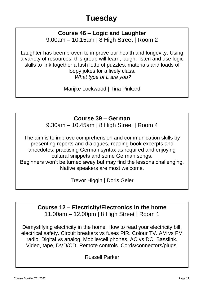#### **Course 46 – Logic and Laughter** 9.00am – 10.15am | 8 High Street | Room 2

Laughter has been proven to improve our health and longevity. Using a variety of resources, this group will learn, laugh, listen and use logic skills to link together a lush lotto of puzzles, materials and loads of loopy jokes for a lively class. *What type of L are you?*

Marijke Lockwood | Tina Pinkard

#### **Course 39 – German**

9.30am – 10.45am | 8 High Street | Room 4

The aim is to improve comprehension and communication skills by presenting reports and dialogues, reading book excerpts and anecdotes, practising German syntax as required and enjoying cultural snippets and some German songs. Beginners won't be turned away but may find the lessons challenging. Native speakers are most welcome.

Trevor Higgin | Doris Geier

#### **Course 12 – Electricity/Electronics in the home** 11.00am – 12.00pm | 8 High Street | Room 1

Demystifying electricity in the home. How to read your electricity bill, electrical safety. Circuit breakers vs fuses PIR. Colour TV. AM vs FM radio. Digital vs analog. Mobile/cell phones. AC vs DC. Basslink. Video, tape, DVD/CD. Remote controls. Cords/connectors/plugs.

Russell Parker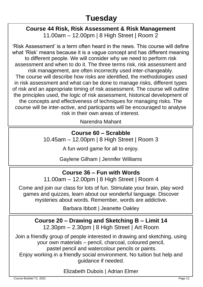#### **Course 44 Risk, Risk Assessment & Risk Management** 11.00am – 12.00pm | 8 High Street | Room 2

'Risk Assessment' is a term often heard in the news. This course will define what 'Risk' means because it is a vague concept and has different meaning to different people. We will consider why we need to perform risk assessment and when to do it. The three terms risk, risk assessment and risk management, are often incorrectly used inter-changeably. The course will describe how risks are identified, the methodologies used in risk assessment and what can be done to manage risks, different types of risk and an appropriate timing of risk assessment. The course will outline the principles used, the logic of risk assessment, historical development of the concepts and effectiveness of techniques for managing risks. The course will be inter-active, and participants will be encouraged to analyse risk in their own areas of interest.

Narendra Mahant

#### **Course 60 – Scrabble**

10.45am – 12.00pm | 8 High Street | Room 3

A fun word game for all to enjoy.

Gaylene Gilham | Jennifer Williams

#### **Course 36 – Fun with Words**

11.00am – 12.00pm | 8 High Street | Room 4

Come and join our class for lots of fun. Stimulate your brain, play word games and quizzes, learn about our wonderful language. Discover mysteries about words. Remember, words are addictive.

Barbara Ibbott | Jeanette Oakley

**Course 20 – Drawing and Sketching B – Limit 14** 12.30pm – 2.30pm | 8 High Street | Art Room

Join a friendly group of people interested in drawing and sketching, using your own materials – pencil, charcoal, coloured pencil,

pastel pencil and watercolour pencils or paints.

Enjoy working in a friendly social environment. No tuition but help and guidance if needed.

#### Elizabeth Dubois | Adrian Elmer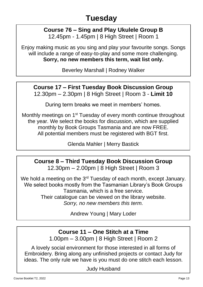# **Course 76 – Sing and Play Ukulele Group B**

12.45pm - 1.45pm | 8 High Street | Room 1

Enjoy making music as you sing and play your favourite songs. Songs will include a range of easy-to-play and some more challenging. **Sorry, no new members this term, wait list only.**

Beverley Marshall | Rodney Walker

**Course 17 – First Tuesday Book Discussion Group** 12.30pm – 2.30pm | 8 High Street | Room 3 - **Limit 10**

During term breaks we meet in members' homes.

Monthly meetings on 1<sup>st</sup> Tuesday of every month continue throughout the year. We select the books for discussion, which are supplied monthly by Book Groups Tasmania and are now FREE. All potential members must be registered with BGT first.

Glenda Mahler | Merry Bastick

#### **Course 8 – Third Tuesday Book Discussion Group**  12.30pm – 2.00pm | 8 High Street | Room 3

**Tuesday**<br>Tuesday We hold a meeting on the 3<sup>rd</sup> Tuesday of each month, except January. We select books mostly from the Tasmanian Library's Book Groups Tasmania, which is a free service. Their catalogue can be viewed on the library website.

*Sorry, no new members this term.*

Andrew Young | Mary Loder

### **Course 11 – One Stitch at a Time**

1.00pm – 3.00pm | 8 High Street | Room 2

A lovely social environment for those interested in all forms of Embroidery. Bring along any unfinished projects or contact Judy for ideas. The only rule we have is you must do one stitch each lesson.

Judy Husband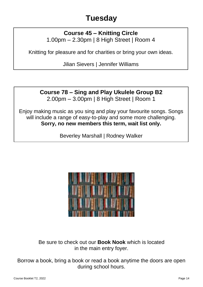#### **Course 45 – Knitting Circle** 1.00pm – 2.30pm | 8 High Street | Room 4

Knitting for pleasure and for charities or bring your own ideas.

Jilian Sievers | Jennifer Williams

#### **Course 78 – Sing and Play Ukulele Group B2** 2.00pm – 3.00pm | 8 High Street | Room 1

Enjoy making music as you sing and play your favourite songs. Songs will include a range of easy-to-play and some more challenging. **Sorry, no new members this term, wait list only.**

Beverley Marshall | Rodney Walker



Be sure to check out our **Book Nook** which is located in the main entry foyer.

Borrow a book, bring a book or read a book anytime the doors are open during school hours.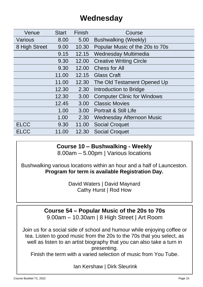## **Wednesday**

| Venue         | <b>Start</b> | Finish | Course                             |
|---------------|--------------|--------|------------------------------------|
| Various       | 8.00         | 5.00   | <b>Bushwalking (Weekly)</b>        |
| 8 High Street | 9.00         | 10.30  | Popular Music of the 20s to 70s    |
|               | 9.15         | 12.15  | Wednesday Multimedia               |
|               | 9.30         | 12.00  | <b>Creative Writing Circle</b>     |
|               | 9.30         | 12.00  | Chess for All                      |
|               | 11.00        | 12.15  | <b>Glass Craft</b>                 |
|               | 11.00        | 12.30  | The Old Testament Opened Up        |
|               | 12.30        | 2.30   | Introduction to Bridge             |
|               | 12.30        | 3.00   | <b>Computer Clinic for Windows</b> |
|               | 12.45        | 3.00   | <b>Classic Movies</b>              |
|               | 1.00         | 3.00   | Portrait & Still Life              |
|               | 1.00         | 2.30   | Wednesday Afternoon Music          |
| <b>ELCC</b>   | 9.30         | 11.00  | <b>Social Croquet</b>              |
| <b>ELCC</b>   | 11.00        | 12.30  | <b>Social Croquet</b>              |
|               |              |        |                                    |

#### **Course 10 – Bushwalking - Weekly** 8.00am – 5.00pm | Various locations

Bushwalking various locations within an hour and a half of Launceston. **Program for term is available Registration Day.**

> David Waters | David Maynard Cathy Hurst | Rod How

#### **Course 54 – Popular Music of the 20s to 70s**

9.00am – 10.30am | 8 High Street | Art Room

Join us for a social side of school and humour while enjoying coffee or tea. Listen to good music from the 20s to the 70s that you select, as well as listen to an artist biography that you can also take a turn in presenting.

Finish the term with a varied selection of music from You Tube.

Ian Kershaw | Dirk Sleurink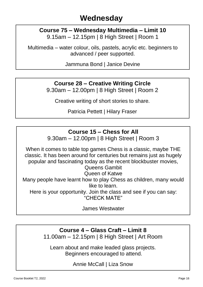#### **Course 75 – Wednesday Multimedia – Limit 10** 9.15am – 12.15pm | 8 High Street | Room 1

Multimedia – water colour, oils, pastels, acrylic etc. beginners to advanced / peer supported.

Jammuna Bond | Janice Devine

#### **Course 28 – Creative Writing Circle**

9.30am – 12.00pm | 8 High Street | Room 2

Creative writing of short stories to share.

Patricia Pettett | Hilary Fraser

#### **Course 15 – Chess for All**

9.30am – 12.00pm | 8 High Street | Room 3

When it comes to table top games Chess is a classic, maybe THE classic. It has been around for centuries but remains just as hugely popular and fascinating today as the recent blockbuster movies,

Queens Gambit Queen of Katwe Many people have learnt how to play Chess as children, many would like to learn. Here is your opportunity. Join the class and see if you can say:

"CHECK MATE"

James Westwater

#### **Course 4 – Glass Craft – Limit 8**

11.00am – 12.15pm | 8 High Street | Art Room

Learn about and make leaded glass projects. Beginners encouraged to attend.

Annie McCall | Liza Snow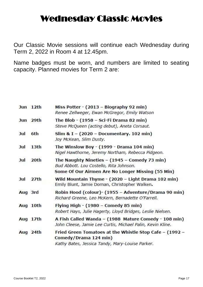# Wednesday Classic Movies

Our Classic Movie sessions will continue each Wednesday during Term 2, 2022 in Room 4 at 12.45pm.

Name badges must be worn, and numbers are limited to seating capacity. Planned movies for Term 2 are:

|         | Jun 12th         | Miss Potter - (2013 - Biography 92 min)<br>Renee Zellweger, Ewan McGregor, Emily Watson                                                         |
|---------|------------------|-------------------------------------------------------------------------------------------------------------------------------------------------|
|         | Jun 29th         | The Blob - (1958 - Sci-Fi Drama 82 min)<br>Steve McQueen (acting debut), Aneta Corsaut.                                                         |
| Jul     | 6th              | Slim & I - (2020 - Documentary. 102 min)<br>Joy McKean, Slim Dusty.                                                                             |
| Jul     | 13 <sub>th</sub> | The Winslow Boy - (1999 - Drama 104 min)<br>Nigel Hawthorne, Jeremy Northam, Rebecca Pidgeon.                                                   |
| Jul     | 20th             | The Naughty Nineties $-$ (1945 – Comedy 73 min)<br>Bud Abbott. Lou Costello, Rita Johnson.<br>Some Of Our Airmen Are No Longer Missing (55 Min) |
| Jul     | 27 <sup>th</sup> | Wild Mountain Thyme - (2020 - Light Drama 102 min)<br>Emily Blunt, Jamie Dornan, Christopher Walken.                                            |
| Aug 3rd |                  | Robin Hood (colour)- (1955 - Adventure/Drama 90 min)<br>Richard Greene, Leo McKern, Bernadette O'Farrell.                                       |
|         | Aug 10th         | Flying High - (1980 – Comedy 85 min)<br>Robert Hays, Julie Hagerty, Lloyd Bridges, Leslie Nielsen.                                              |
|         | Aug 17th         | A Fish Called Wanda - (1988 Mature Comedy - 108 min)<br>John Cleese, Jamie Lee Curtis, Michael Palin, Kevin Kline.                              |
|         | Aug 24th         | Fried Green Tomatoes at the Whistle Stop Cafe - (1992 -<br>Comedy/Drama 124 min)<br>Kathy Bates, Jessica Tandy, Mary-Louise Parker.             |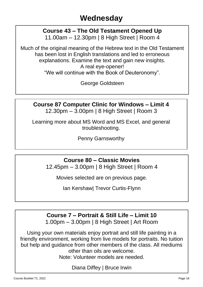### **Wednesday**

#### **Course 43 – The Old Testament Opened Up** 11.00am – 12.30pm | 8 High Street | Room 4

Much of the original meaning of the Hebrew text in the Old Testament has been lost in English translations and led to erroneous explanations. Examine the text and gain new insights. A real eye-opener! "We will continue with the Book of Deuteronomy".

George Goldsteen

**Course 87 Computer Clinic for Windows – Limit 4** 12.30pm – 3.00pm | 8 High Street | Room 3

Learning more about MS Word and MS Excel, and general troubleshooting.

Penny Garnsworthy

**Course 80 – Classic Movies**

12.45pm – 3.00pm | 8 High Street | Room 4

Movies selected are on previous page.

Ian Kershaw| Trevor Curtis-Flynn

**Course 7 – Portrait & Still Life – Limit 10** 1.00pm – 3.00pm | 8 High Street | Art Room

Using your own materials enjoy portrait and still life painting in a friendly environment, working from live models for portraits. No tuition but help and guidance from other members of the class. All mediums other than oils are welcome.

Note: Volunteer models are needed.

Diana Diffey | Bruce Irwin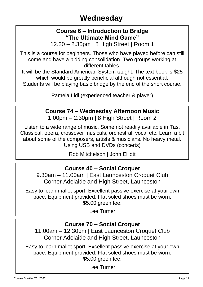#### **Course 6 – Introduction to Bridge "The Ultimate Mind Game"**

12.30 – 2.30pm | 8 High Street | Room 1

This is a course for beginners. Those who have played before can still come and have a bidding consolidation. Two groups working at different tables.

It will be the Standard American System taught. The text book is \$25 which would be greatly beneficial although not essential.

Students will be playing basic bridge by the end of the short course.

Pamela Lidl (experienced teacher & player)

#### **Course 74 – Wednesday Afternoon Music**

1.00pm – 2.30pm | 8 High Street | Room 2

Listen to a wide range of music. Some not readily available in Tas. Classical, opera, crossover musicals, orchestral, vocal etc. Learn a bit about some of the composers, artists & musicians. No heavy metal. Using USB and DVDs (concerts)

Rob Mitchelson | John Elliott

#### **Course 40 – Social Croquet**

9.30am – 11.00am | East Launceston Croquet Club Corner Adelaide and High Street, Launceston

Easy to learn mallet sport. Excellent passive exercise at your own pace. Equipment provided. Flat soled shoes must be worn. \$5.00 green fee.

Lee Turner

#### **Course 70 – Social Croquet**

11.00am – 12.30pm | East Launceston Croquet Club Corner Adelaide and High Street, Launceston

Easy to learn mallet sport. Excellent passive exercise at your own pace. Equipment provided. Flat soled shoes must be worn. \$5.00 green fee.

Lee Turner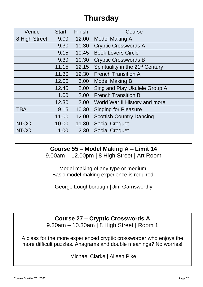| Venue         | <b>Start</b> | Finish | Course                                       |
|---------------|--------------|--------|----------------------------------------------|
| 8 High Street | 9.00         | 12.00  | Model Making A                               |
|               | 9.30         | 10.30  | <b>Cryptic Crosswords A</b>                  |
|               | 9.15         | 10.45  | <b>Book Lovers Circle</b>                    |
|               | 9.30         | 10.30  | <b>Cryptic Crosswords B</b>                  |
|               | 11.15        | 12.15  | Spirituality in the 21 <sup>st</sup> Century |
|               | 11.30        | 12.30  | <b>French Transition A</b>                   |
|               | 12.00        | 3.00   | Model Making B                               |
|               | 12.45        | 2.00   | Sing and Play Ukulele Group A                |
|               | 1.00         | 2.00   | <b>French Transition B</b>                   |
|               | 12.30        | 2.00   | World War II History and more                |
| <b>TBA</b>    | 9.15         | 10.30  | <b>Singing for Pleasure</b>                  |
|               | 11.00        | 12.00  | <b>Scottish Country Dancing</b>              |
| <b>NTCC</b>   | 10.00        | 11.30  | <b>Social Croquet</b>                        |
| <b>NTCC</b>   | 1.00         | 2.30   | <b>Social Croquet</b>                        |

**Course 55 – Model Making A – Limit 14**

9.00am – 12.00pm | 8 High Street | Art Room

Model making of any type or medium. Basic model making experience is required.

George Loughborough | Jim Garnsworthy

**Course 27 – Cryptic Crosswords A** 9.30am – 10.30am | 8 High Street | Room 1

A class for the more experienced cryptic crossworder who enjoys the more difficult puzzles. Anagrams and double meanings? No worries!

Michael Clarke | Aileen Pike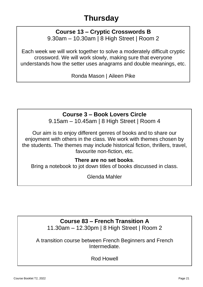#### **Course 13 – Cryptic Crosswords B** 9.30am – 10.30am | 8 High Street | Room 2

Each week we will work together to solve a moderately difficult cryptic crossword. We will work slowly, making sure that everyone understands how the setter uses anagrams and double meanings, etc.

Ronda Mason | Aileen Pike

#### **Course 3 – Book Lovers Circle**

9.15am – 10.45am | 8 High Street | Room 4

Our aim is to enjoy different genres of books and to share our enjoyment with others in the class. We work with themes chosen by the students. The themes may include historical fiction, thrillers, travel, favourite non-fiction, etc.

#### **There are no set books**.

Bring a notebook to jot down titles of books discussed in class.

Glenda Mahler

#### **Course 83 – French Transition A**

11.30am – 12.30pm | 8 High Street | Room 2

A transition course between French Beginners and French Intermediate.

Rod Howell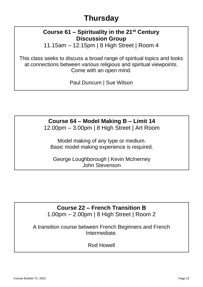#### **Course 61 – Spirituality in the 21st Century Discussion Group**

11.15am – 12.15pm | 8 High Street | Room 4

This class seeks to discuss a broad range of spiritual topics and looks at connections between various religious and spiritual viewpoints. Come with an open mind.

Paul Duncum | Sue Wilson

# **Course 64 – Model Making B – Limit 14**

12.00pm – 3.00pm | 8 High Street | Art Room

Model making of any type or medium. Basic model making experience is required.

George Loughborough | Kevin McInerney John Stevenson

### **Course 22 – French Transition B**

1.00pm – 2.00pm | 8 High Street | Room 2

A transition course between French Beginners and French Intermediate.

Rod Howell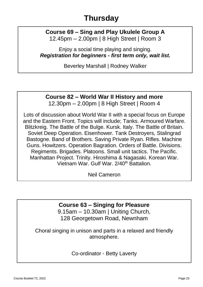#### **Course 69 – Sing and Play Ukulele Group A** 12.45pm – 2.00pm | 8 High Street | Room 3

Enjoy a social time playing and singing. *Registration for beginners - first term only, wait list.*

Beverley Marshall | Rodney Walker

#### **Course 82 – World War II History and more** 12.30pm – 2.00pm | 8 High Street | Room 4

Lots of discussion about World War II with a special focus on Europe and the Eastern Front. Topics will include; Tanks. Armoured Warfare. Blitzkreig. The Battle of the Bulge. Kursk. Italy. The Battle of Britain. Soviet Deep Operation. Eisenhower. Tank Destroyers, Stalingrad Bastogne. Band of Brothers. Saving Private Ryan. Rifles. Machine Guns. Howitzers. Operation Bagration. Orders of Battle. Divisions. Regiments. Brigades. Platoons. Small unit tactics. The Pacific. Manhattan Project. Trinity. Hiroshima & Nagasaki. Korean War. Vietnam War. Gulf War. 2/40th Battalion.

Neil Cameron

#### **Course 63 – Singing for Pleasure**

9.15am – 10.30am | Uniting Church, 128 Georgetown Road, Newnham

Choral singing in unison and parts in a relaxed and friendly atmosphere.

Co-ordinator - Betty Laverty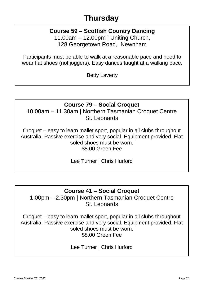#### **Course 59 – Scottish Country Dancing**

11.00am – 12.00pm | Uniting Church, 128 Georgetown Road, Newnham

Participants must be able to walk at a reasonable pace and need to wear flat shoes (not joggers). Easy dances taught at a walking pace.

Betty Laverty

#### **Course 79 – Social Croquet**

10.00am – 11.30am | Northern Tasmanian Croquet Centre St. Leonards

Croquet – easy to learn mallet sport, popular in all clubs throughout Australia. Passive exercise and very social. Equipment provided. Flat soled shoes must be worn. \$8.00 Green Fee

Lee Turner | Chris Hurford

#### **Course 41 – Social Croquet**

1.00pm – 2.30pm | Northern Tasmanian Croquet Centre St. Leonards

Croquet – easy to learn mallet sport, popular in all clubs throughout Australia. Passive exercise and very social. Equipment provided. Flat soled shoes must be worn. \$8.00 Green Fee

Lee Turner | Chris Hurford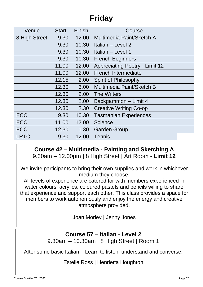| Venue         | Start | Finish | Course                                |
|---------------|-------|--------|---------------------------------------|
| 8 High Street | 9.30  | 12.00  | Multimedia Paint/Sketch A             |
|               | 9.30  | 10.30  | Italian – Level 2                     |
|               | 9.30  | 10.30  | Italian - Level 1                     |
|               | 9.30  | 10.30  | <b>French Beginners</b>               |
|               | 11.00 | 12.00  | <b>Appreciating Poetry - Limit 12</b> |
|               | 11.00 | 12.00  | <b>French Intermediate</b>            |
|               | 12.15 | 2.00   | Spirit of Philosophy                  |
|               | 12.30 | 3.00   | Multimedia Paint/Sketch B             |
|               | 12.30 | 2.00   | <b>The Writers</b>                    |
|               | 12.30 | 2.00   | Backgammon - Limit 4                  |
|               | 12.30 | 2.30   | <b>Creative Writing Co-op</b>         |
| <b>ECC</b>    | 9.30  | 10.30  | <b>Tasmanian Experiences</b>          |
| <b>ECC</b>    | 11.00 | 12.00  | Science                               |
| <b>ECC</b>    | 12.30 | 1.30   | <b>Garden Group</b>                   |
| <b>LRTC</b>   | 9.30  | 12.00  | Tennis                                |

#### **Course 42 – Multimedia - Painting and Sketching A**  9.30am – 12.00pm | 8 High Street | Art Room - **Limit 12**

We invite participants to bring their own supplies and work in whichever medium they choose.

All levels of experience are catered for with members experienced in water colours, acrylics, coloured pastels and pencils willing to share that experience and support each other. This class provides a space for members to work autonomously and enjoy the energy and creative atmosphere provided.

Joan Morley | Jenny Jones

#### **Course 57 – Italian - Level 2** 9.30am – 10.30am | 8 High Street | Room 1

After some basic Italian – Learn to listen, understand and converse.

Estelle Ross | Henrietta Houghton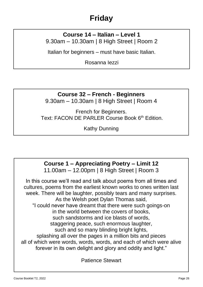#### **Course 14 – Italian – Level 1** 9.30am – 10.30am | 8 High Street | Room 2

Italian for beginners – must have basic Italian.

Rosanna Iezzi

### **Course 32 – French - Beginners**

9.30am – 10.30am | 8 High Street | Room 4

French for Beginners. Text: FACON DE PARLER Course Book 6<sup>th</sup> Edition

Kathy Dunning

# **Course 1 – Appreciating Poetry – Limit 12**

11.00am – 12.00pm | 8 High Street | Room 3

In this course we'll read and talk about poems from all times and cultures, poems from the earliest known works to ones written last week. There will be laughter, possibly tears and many surprises. As the Welsh poet Dylan Thomas said, "I could never have dreamt that there were such goings-on in the world between the covers of books, such sandstorms and ice blasts of words, staggering peace, such enormous laughter, such and so many blinding bright lights, splashing all over the pages in a million bits and pieces all of which were words, words, words, and each of which were alive forever in its own delight and glory and oddity and light."

Patience Stewart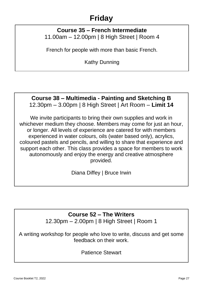#### **Course 35 – French Intermediate**  11.00am – 12.00pm | 8 High Street | Room 4

French for people with more than basic French.

Kathy Dunning

#### **Course 38 – Multimedia - Painting and Sketching B** 12.30pm – 3.00pm | 8 High Street | Art Room – **Limit 14**

We invite participants to bring their own supplies and work in whichever medium they choose. Members may come for just an hour, or longer. All levels of experience are catered for with members experienced in water colours, oils (water based only), acrylics, coloured pastels and pencils, and willing to share that experience and support each other. This class provides a space for members to work autonomously and enjoy the energy and creative atmosphere provided.

Diana Diffey | Bruce Irwin

#### **Course 52 – The Writers**

12.30pm – 2.00pm | 8 High Street | Room 1

A writing workshop for people who love to write, discuss and get some feedback on their work.

Patience Stewart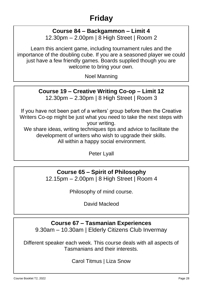#### **Course 84 – Backgammon – Limit 4** 12.30pm – 2.00pm | 8 High Street | Room 2

Learn this ancient game, including tournament rules and the importance of the doubling cube. If you are a seasoned player we could just have a few friendly games. Boards supplied though you are welcome to bring your own.

Noel Manning

#### **Course 19 – Creative Writing Co-op – Limit 12** 12.30pm – 2.30pm | 8 High Street | Room 3

If you have not been part of a writers' group before then the Creative Writers Co-op might be just what you need to take the next steps with your writing.

We share ideas, writing techniques tips and advice to facilitate the development of writers who wish to upgrade their skills. All within a happy social environment.

Peter Lyall

#### **Course 65 – Spirit of Philosophy**

12.15pm – 2.00pm | 8 High Street | Room 4

Philosophy of mind course.

David Macleod

#### **Course 67 – Tasmanian Experiences**

9.30am – 10.30am | Elderly Citizens Club Invermay

Different speaker each week. This course deals with all aspects of Tasmanians and their interests.

Carol Titmus | Liza Snow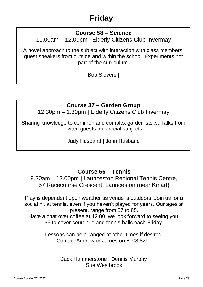#### **Course 58 – Science**

11.00am – 12.00pm | Elderly Citizens Club Invermay

A novel approach to the subject with interaction with class members, guest speakers from outside and within the school. Experiments not part of the curriculum.

Bob Sievers |

#### **Course 37 – Garden Group**

12.30pm – 1.30pm | Elderly Citizens Club Invermay

Sharing knowledge to common and complex garden tasks. Talks from invited guests on special subjects.

Judy Husband | John Husband

#### **Course 66 – Tennis**

9.30am – 12.00pm | Launceston Regional Tennis Centre, 57 Racecourse Crescent, Launceston (near Kmart)

Play is dependent upon weather as venue is outdoors. Join us for a social hit at tennis, even if you haven't played for years. Our ages at present, range from 57 to 85.

Have a chat over coffee at 12.00, we look forward to seeing you. \$5 to cover court hire and tennis balls each Friday.

> Lessons can be arranged at other times if desired. Contact Andrew or James on 6108 8290

> > Jack Hummerstone | Dennis Murphy Sue Westbrook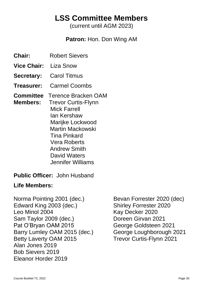### **LSS Committee Members**

(current until AGM 2023)

#### **Patron:** Hon. Don Wing AM

- **Chair:** Robert Sievers
- **Vice Chair:** Liza Snow
- **Secretary:** Carol Titmus
- **Treasurer:** Carmel Coombs
- **Committee** Terence Bracken OAM
- **Members:** Trevor Curtis-Flynn Mick Farrell Ian Kershaw Marijke Lockwood Martin Mackowski Tina Pinkard Vera Roberts Andrew Smith David Waters Jennifer Williams
- **Public Officer:** John Husband

#### **Life Members:**

Norma Pointing 2001 (dec.) Bevan Forrester 2020 (dec) Edward King 2003 (dec.) Shirley Forrester 2020 Leo Minol 2004 Kay Decker 2020 Sam Taylor 2009 (dec.) Doreen Girvan 2021 Pat O'Bryan OAM 2015 George Goldsteen 2021 Barry Lumley OAM 2015 (dec.) George Loughborough 2021 Betty Laverty OAM 2015 Trevor Curtis-Flynn 2021 Alan Jones 2019 Bob Sievers 2019 Eleanor Horder 2019